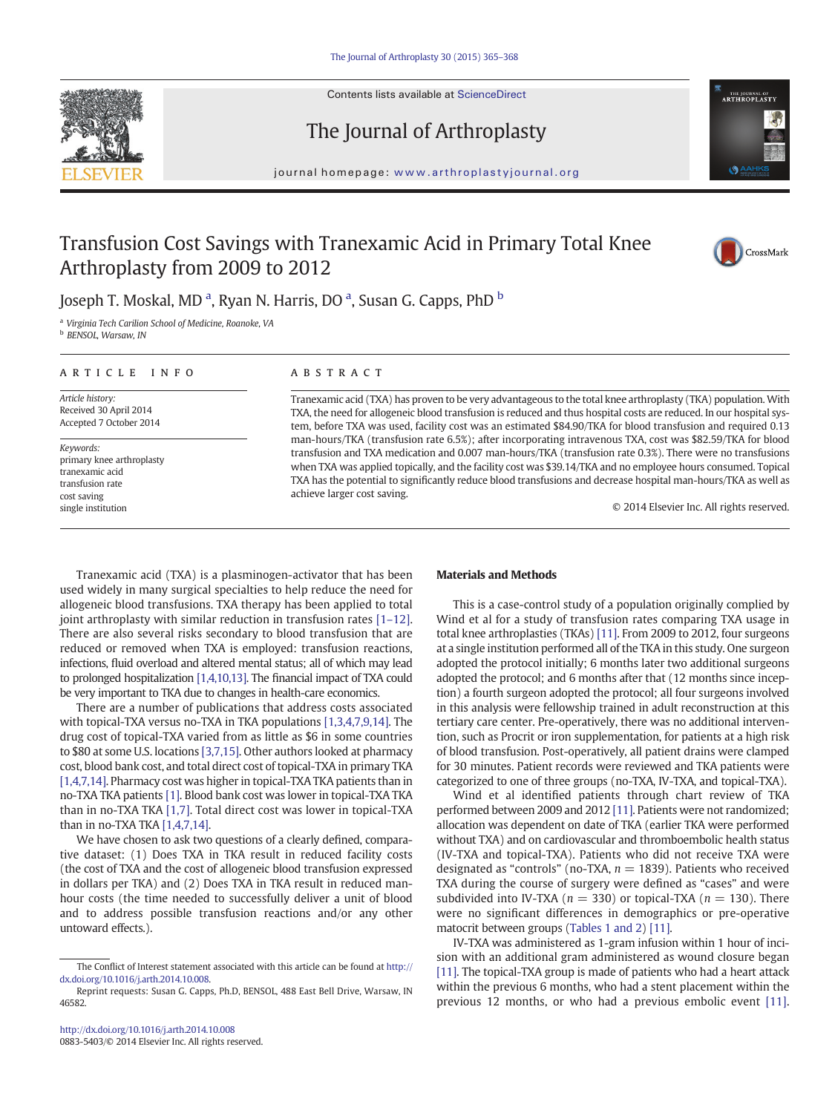Contents lists available at ScienceDirect

# The Journal of Arthroplasty



journal homepage: www.arthroplastyjournal.org

# Transfusion Cost Savings with Tranexamic Acid in Primary Total Knee Arthroplasty from 2009 to 2012



## Joseph T. Moskal, MD <sup>a</sup>, Ryan N. Harris, DO <sup>a</sup>, Susan G. Capps, PhD <sup>b</sup>

<sup>a</sup> Virginia Tech Carilion School of Medicine, Roanoke, VA

<sup>b</sup> BENSOL, Warsaw, IN

#### article info abstract

Article history: Received 30 April 2014 Accepted 7 October 2014

Keywords: primary knee arthroplasty tranexamic acid transfusion rate cost saving single institution

Tranexamic acid (TXA) has proven to be very advantageous to the total knee arthroplasty (TKA) population. With TXA, the need for allogeneic blood transfusion is reduced and thus hospital costs are reduced. In our hospital system, before TXA was used, facility cost was an estimated \$84.90/TKA for blood transfusion and required 0.13 man-hours/TKA (transfusion rate 6.5%); after incorporating intravenous TXA, cost was \$82.59/TKA for blood transfusion and TXA medication and 0.007 man-hours/TKA (transfusion rate 0.3%). There were no transfusions when TXA was applied topically, and the facility cost was \$39.14/TKA and no employee hours consumed. Topical TXA has the potential to significantly reduce blood transfusions and decrease hospital man-hours/TKA as well as achieve larger cost saving.

© 2014 Elsevier Inc. All rights reserved.

Tranexamic acid (TXA) is a plasminogen-activator that has been used widely in many surgical specialties to help reduce the need for allogeneic blood transfusions. TXA therapy has been applied to total joint arthroplasty with similar reduction in transfusion rates [1–[12\].](#page-3-0) There are also several risks secondary to blood transfusion that are reduced or removed when TXA is employed: transfusion reactions, infections, fluid overload and altered mental status; all of which may lead to prolonged hospitalization [\[1,4,10,13\]](#page-3-0). The financial impact of TXA could be very important to TKA due to changes in health-care economics.

There are a number of publications that address costs associated with topical-TXA versus no-TXA in TKA populations [\[1,3,4,7,9,14\]](#page-3-0). The drug cost of topical-TXA varied from as little as \$6 in some countries to \$80 at some U.S. locations [\[3,7,15\].](#page-3-0) Other authors looked at pharmacy cost, blood bank cost, and total direct cost of topical-TXA in primary TKA [\[1,4,7,14\]](#page-3-0). Pharmacy cost was higher in topical-TXA TKA patients than in no-TXA TKA patients [\[1\].](#page-3-0) Blood bank cost was lower in topical-TXA TKA than in no-TXA TKA [\[1,7\]](#page-3-0). Total direct cost was lower in topical-TXA than in no-TXA TKA [\[1,4,7,14\]](#page-3-0).

We have chosen to ask two questions of a clearly defined, comparative dataset: (1) Does TXA in TKA result in reduced facility costs (the cost of TXA and the cost of allogeneic blood transfusion expressed in dollars per TKA) and (2) Does TXA in TKA result in reduced manhour costs (the time needed to successfully deliver a unit of blood and to address possible transfusion reactions and/or any other untoward effects.).

#### Materials and Methods

This is a case-control study of a population originally complied by Wind et al for a study of transfusion rates comparing TXA usage in total knee arthroplasties (TKAs) [\[11\].](#page-3-0) From 2009 to 2012, four surgeons at a single institution performed all of the TKA in this study. One surgeon adopted the protocol initially; 6 months later two additional surgeons adopted the protocol; and 6 months after that (12 months since inception) a fourth surgeon adopted the protocol; all four surgeons involved in this analysis were fellowship trained in adult reconstruction at this tertiary care center. Pre-operatively, there was no additional intervention, such as Procrit or iron supplementation, for patients at a high risk of blood transfusion. Post-operatively, all patient drains were clamped for 30 minutes. Patient records were reviewed and TKA patients were categorized to one of three groups (no-TXA, IV-TXA, and topical-TXA).

Wind et al identified patients through chart review of TKA performed between 2009 and 2012 [\[11\]](#page-3-0). Patients were not randomized; allocation was dependent on date of TKA (earlier TKA were performed without TXA) and on cardiovascular and thromboembolic health status (IV-TXA and topical-TXA). Patients who did not receive TXA were designated as "controls" (no-TXA,  $n = 1839$ ). Patients who received TXA during the course of surgery were defined as "cases" and were subdivided into IV-TXA ( $n = 330$ ) or topical-TXA ( $n = 130$ ). There were no significant differences in demographics or pre-operative matocrit between groups ([Tables 1 and 2\)](#page-1-0) [\[11\]](#page-3-0).

IV-TXA was administered as 1-gram infusion within 1 hour of incision with an additional gram administered as wound closure began [\[11\].](#page-3-0) The topical-TXA group is made of patients who had a heart attack within the previous 6 months, who had a stent placement within the previous 12 months, or who had a previous embolic event [\[11\].](#page-3-0)

The Conflict of Interest statement associated with this article can be found at [http://](http://dx.doi.org/10.1016/j.arth.2014.10.008) [dx.doi.org/10.1016/j.arth.2014.10.008.](http://dx.doi.org/10.1016/j.arth.2014.10.008)

Reprint requests: Susan G. Capps, Ph.D, BENSOL, 488 East Bell Drive, Warsaw, IN 46582.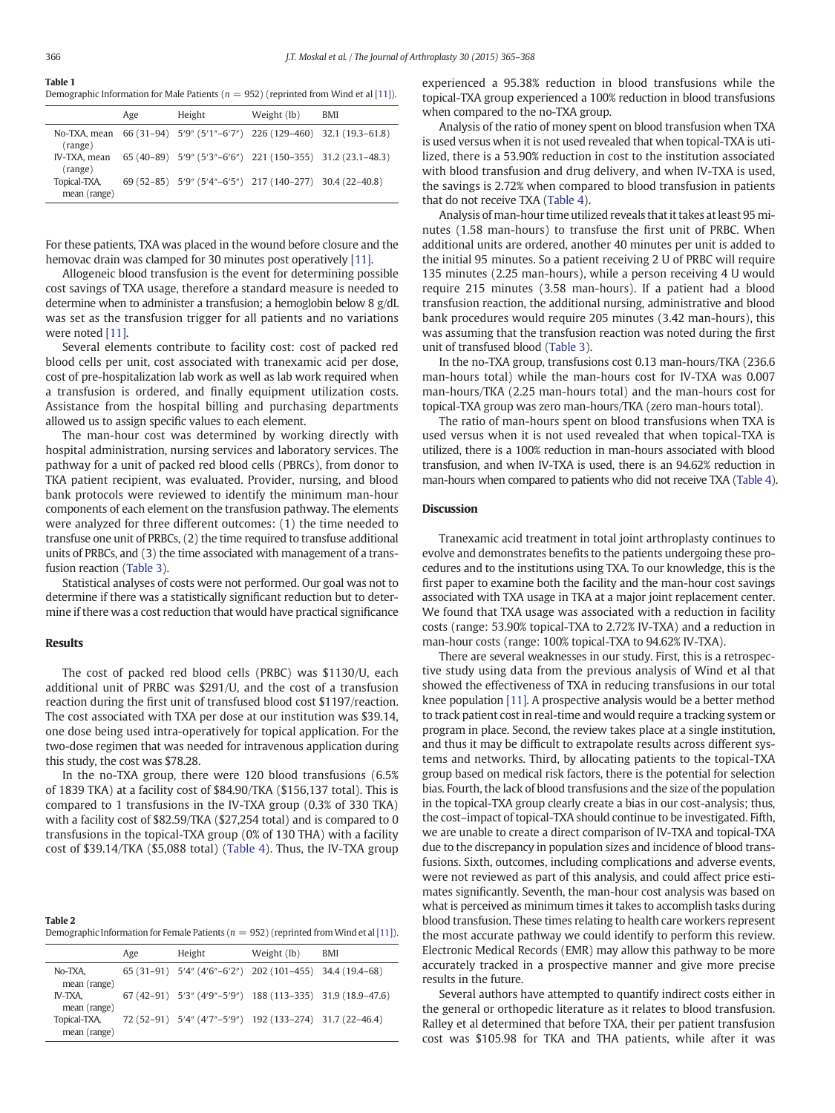<span id="page-1-0"></span>Demographic Information for Male Patients ( $n = 952$ ) (reprinted from Wind et al [\[11\]](#page-3-0)).

|                              | Age | Height                                                                  | Weight (lb) | BMI |
|------------------------------|-----|-------------------------------------------------------------------------|-------------|-----|
| (range)                      |     | No-TXA, mean 66 (31-94) 5'9" (5'1"-6'7") 226 (129-460) 32.1 (19.3-61.8) |             |     |
| IV-TXA, mean<br>(range)      |     | $65 (40-89)$ $5'9'' (5'3''-6'6'')$ 221 (150-355) 31.2 (23.1-48.3)       |             |     |
| Topical-TXA,<br>mean (range) |     | 69 (52-85) 5'9" (5'4"-6'5") 217 (140-277) 30.4 (22-40.8)                |             |     |

For these patients, TXA was placed in the wound before closure and the hemovac drain was clamped for 30 minutes post operatively [\[11\].](#page-3-0)

Allogeneic blood transfusion is the event for determining possible cost savings of TXA usage, therefore a standard measure is needed to determine when to administer a transfusion; a hemoglobin below 8 g/dL was set as the transfusion trigger for all patients and no variations were noted [\[11\].](#page-3-0)

Several elements contribute to facility cost: cost of packed red blood cells per unit, cost associated with tranexamic acid per dose, cost of pre-hospitalization lab work as well as lab work required when a transfusion is ordered, and finally equipment utilization costs. Assistance from the hospital billing and purchasing departments allowed us to assign specific values to each element.

The man-hour cost was determined by working directly with hospital administration, nursing services and laboratory services. The pathway for a unit of packed red blood cells (PBRCs), from donor to TKA patient recipient, was evaluated. Provider, nursing, and blood bank protocols were reviewed to identify the minimum man-hour components of each element on the transfusion pathway. The elements were analyzed for three different outcomes: (1) the time needed to transfuse one unit of PRBCs, (2) the time required to transfuse additional units of PRBCs, and (3) the time associated with management of a transfusion reaction [\(Table 3](#page-2-0)).

Statistical analyses of costs were not performed. Our goal was not to determine if there was a statistically significant reduction but to determine if there was a cost reduction that would have practical significance

#### Results

The cost of packed red blood cells (PRBC) was \$1130/U, each additional unit of PRBC was \$291/U, and the cost of a transfusion reaction during the first unit of transfused blood cost \$1197/reaction. The cost associated with TXA per dose at our institution was \$39.14, one dose being used intra-operatively for topical application. For the two-dose regimen that was needed for intravenous application during this study, the cost was \$78.28.

In the no-TXA group, there were 120 blood transfusions (6.5% of 1839 TKA) at a facility cost of \$84.90/TKA (\$156,137 total). This is compared to 1 transfusions in the IV-TXA group (0.3% of 330 TKA) with a facility cost of \$82.59/TKA (\$27,254 total) and is compared to 0 transfusions in the topical-TXA group (0% of 130 THA) with a facility cost of \$39.14/TKA (\$5,088 total) ([Table 4\)](#page-2-0). Thus, the IV-TXA group

| Table 2                                                                                     |
|---------------------------------------------------------------------------------------------|
| Demographic Information for Female Patients ( $n = 952$ ) (reprinted from Wind et al [11]). |

|                              | Age | Height                                                     | Weight (lb) | BMI |
|------------------------------|-----|------------------------------------------------------------|-------------|-----|
| No-TXA.<br>mean (range)      |     | 65 (31-91) 5'4" (4'6"-6'2") 202 (101-455) 34.4 (19.4-68)   |             |     |
| IV-TXA.<br>mean (range)      |     | 67 (42-91) 5'3" (4'9"-5'9") 188 (113-335) 31.9 (18.9-47.6) |             |     |
| Topical-TXA,<br>mean (range) |     | 72 (52-91) 5'4" (4'7"-5'9") 192 (133-274) 31.7 (22-46.4)   |             |     |

experienced a 95.38% reduction in blood transfusions while the topical-TXA group experienced a 100% reduction in blood transfusions when compared to the no-TXA group.

Analysis of the ratio of money spent on blood transfusion when TXA is used versus when it is not used revealed that when topical-TXA is utilized, there is a 53.90% reduction in cost to the institution associated with blood transfusion and drug delivery, and when IV-TXA is used, the savings is 2.72% when compared to blood transfusion in patients that do not receive TXA ([Table 4](#page-2-0)).

Analysis of man-hour time utilized reveals that it takes at least 95 minutes (1.58 man-hours) to transfuse the first unit of PRBC. When additional units are ordered, another 40 minutes per unit is added to the initial 95 minutes. So a patient receiving 2 U of PRBC will require 135 minutes (2.25 man-hours), while a person receiving 4 U would require 215 minutes (3.58 man-hours). If a patient had a blood transfusion reaction, the additional nursing, administrative and blood bank procedures would require 205 minutes (3.42 man-hours), this was assuming that the transfusion reaction was noted during the first unit of transfused blood ([Table 3](#page-2-0)).

In the no-TXA group, transfusions cost 0.13 man-hours/TKA (236.6 man-hours total) while the man-hours cost for IV-TXA was 0.007 man-hours/TKA (2.25 man-hours total) and the man-hours cost for topical-TXA group was zero man-hours/TKA (zero man-hours total).

The ratio of man-hours spent on blood transfusions when TXA is used versus when it is not used revealed that when topical-TXA is utilized, there is a 100% reduction in man-hours associated with blood transfusion, and when IV-TXA is used, there is an 94.62% reduction in man-hours when compared to patients who did not receive TXA [\(Table 4\)](#page-2-0).

### Discussion

Tranexamic acid treatment in total joint arthroplasty continues to evolve and demonstrates benefits to the patients undergoing these procedures and to the institutions using TXA. To our knowledge, this is the first paper to examine both the facility and the man-hour cost savings associated with TXA usage in TKA at a major joint replacement center. We found that TXA usage was associated with a reduction in facility costs (range: 53.90% topical-TXA to 2.72% IV-TXA) and a reduction in man-hour costs (range: 100% topical-TXA to 94.62% IV-TXA).

There are several weaknesses in our study. First, this is a retrospective study using data from the previous analysis of Wind et al that showed the effectiveness of TXA in reducing transfusions in our total knee population [\[11\].](#page-3-0) A prospective analysis would be a better method to track patient cost in real-time and would require a tracking system or program in place. Second, the review takes place at a single institution, and thus it may be difficult to extrapolate results across different systems and networks. Third, by allocating patients to the topical-TXA group based on medical risk factors, there is the potential for selection bias. Fourth, the lack of blood transfusions and the size of the population in the topical-TXA group clearly create a bias in our cost-analysis; thus, the cost–impact of topical-TXA should continue to be investigated. Fifth, we are unable to create a direct comparison of IV-TXA and topical-TXA due to the discrepancy in population sizes and incidence of blood transfusions. Sixth, outcomes, including complications and adverse events, were not reviewed as part of this analysis, and could affect price estimates significantly. Seventh, the man-hour cost analysis was based on what is perceived as minimum times it takes to accomplish tasks during blood transfusion. These times relating to health care workers represent the most accurate pathway we could identify to perform this review. Electronic Medical Records (EMR) may allow this pathway to be more accurately tracked in a prospective manner and give more precise results in the future.

Several authors have attempted to quantify indirect costs either in the general or orthopedic literature as it relates to blood transfusion. Ralley et al determined that before TXA, their per patient transfusion cost was \$105.98 for TKA and THA patients, while after it was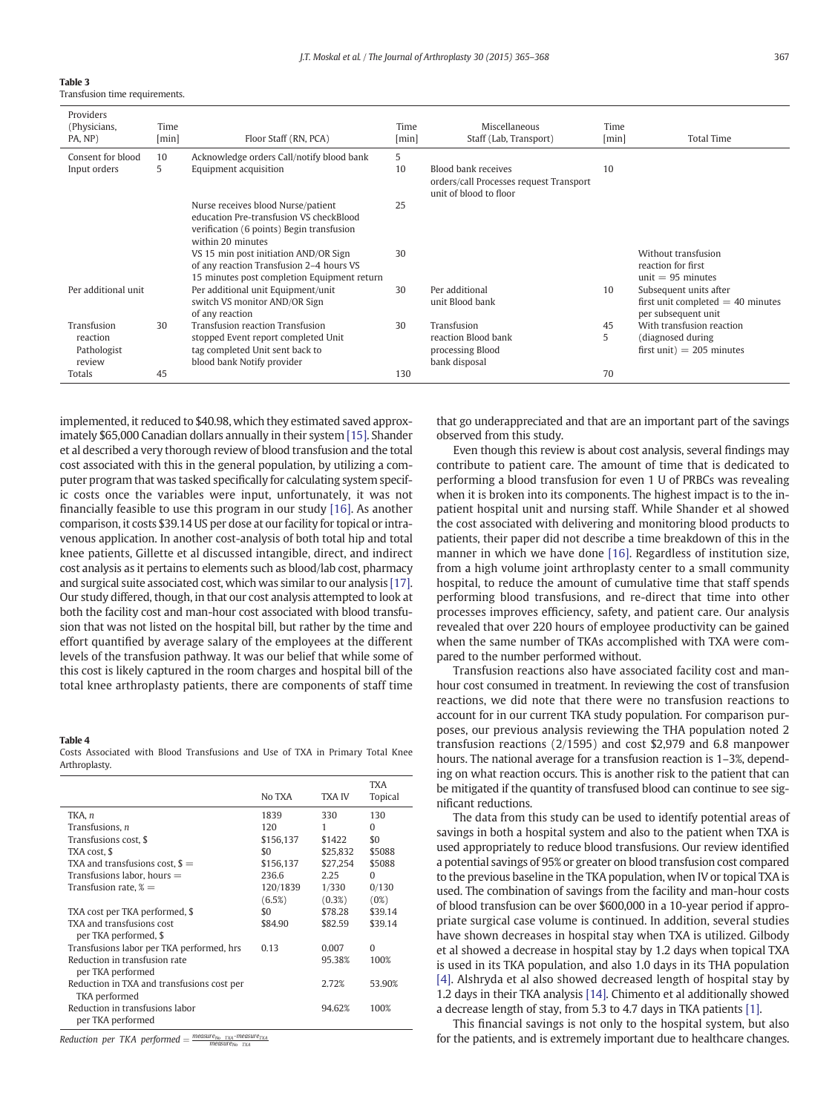<span id="page-2-0"></span>

Transfusion time requirements.

| Providers<br>(Physicians,<br>PA, NP)             | Time<br>[min] | Floor Staff (RN, PCA)                                                                                                                           | Time<br>[min] | Miscellaneous<br>Staff (Lab, Transport)                                                  | Time<br>[min] | <b>Total Time</b>                                                                    |
|--------------------------------------------------|---------------|-------------------------------------------------------------------------------------------------------------------------------------------------|---------------|------------------------------------------------------------------------------------------|---------------|--------------------------------------------------------------------------------------|
| Consent for blood                                | 10            | Acknowledge orders Call/notify blood bank                                                                                                       | 5             |                                                                                          |               |                                                                                      |
| Input orders                                     | 5             | Equipment acquisition                                                                                                                           | 10            | Blood bank receives<br>orders/call Processes request Transport<br>unit of blood to floor | 10            |                                                                                      |
|                                                  |               | Nurse receives blood Nurse/patient<br>education Pre-transfusion VS checkBlood<br>verification (6 points) Begin transfusion<br>within 20 minutes | 25            |                                                                                          |               |                                                                                      |
|                                                  |               | VS 15 min post initiation AND/OR Sign<br>of any reaction Transfusion 2-4 hours VS<br>15 minutes post completion Equipment return                | 30            |                                                                                          |               | Without transfusion<br>reaction for first<br>unit $= 95$ minutes                     |
| Per additional unit                              |               | Per additional unit Equipment/unit<br>switch VS monitor AND/OR Sign<br>of any reaction                                                          | 30            | Per additional<br>unit Blood bank                                                        | 10            | Subsequent units after<br>first unit completed $=$ 40 minutes<br>per subsequent unit |
| Transfusion<br>reaction<br>Pathologist<br>review | 30            | Transfusion reaction Transfusion<br>stopped Event report completed Unit<br>tag completed Unit sent back to<br>blood bank Notify provider        | 30            | Transfusion<br>reaction Blood bank<br>processing Blood<br>bank disposal                  | 45<br>5       | With transfusion reaction<br>(diagnosed during<br>first unit) $=$ 205 minutes        |
| Totals                                           | 45            |                                                                                                                                                 | 130           |                                                                                          | 70            |                                                                                      |

implemented, it reduced to \$40.98, which they estimated saved approximately \$65,000 Canadian dollars annually in their system [\[15\].](#page-3-0) Shander et al described a very thorough review of blood transfusion and the total cost associated with this in the general population, by utilizing a computer program that was tasked specifically for calculating system specific costs once the variables were input, unfortunately, it was not financially feasible to use this program in our study [\[16\].](#page-3-0) As another comparison, it costs \$39.14 US per dose at our facility for topical or intravenous application. In another cost-analysis of both total hip and total knee patients, Gillette et al discussed intangible, direct, and indirect cost analysis as it pertains to elements such as blood/lab cost, pharmacy and surgical suite associated cost, which was similar to our analysis [\[17\].](#page-3-0) Our study differed, though, in that our cost analysis attempted to look at both the facility cost and man-hour cost associated with blood transfusion that was not listed on the hospital bill, but rather by the time and effort quantified by average salary of the employees at the different levels of the transfusion pathway. It was our belief that while some of this cost is likely captured in the room charges and hospital bill of the total knee arthroplasty patients, there are components of staff time

#### Table 4

Costs Associated with Blood Transfusions and Use of TXA in Primary Total Knee Arthroplasty.

|                                                             | No TXA    | <b>TXA IV</b> | <b>TXA</b><br>Topical |
|-------------------------------------------------------------|-----------|---------------|-----------------------|
| TKA, n                                                      | 1839      | 330           | 130                   |
| Transfusions, n                                             | 120       | 1             | $\Omega$              |
| Transfusions cost. \$                                       | \$156.137 | \$1422        | \$0                   |
| TXA cost. \$                                                | \$0       | \$25,832      | \$5088                |
| TXA and transfusions cost. $\texttt{S} =$                   | \$156,137 | \$27.254      | \$5088                |
| Transfusions labor, hours $=$                               | 236.6     | 2.25          | O                     |
| Transfusion rate, $\% =$                                    | 120/1839  | 1/330         | 0/130                 |
|                                                             | (6.5%)    | (0.3%)        | (0%)                  |
| TXA cost per TKA performed, \$                              | \$0       | \$78.28       | \$39.14               |
| TXA and transfusions cost<br>per TKA performed, \$          | \$84.90   | \$82.59       | \$39.14               |
| Transfusions labor per TKA performed, hrs                   | 0.13      | 0.007         | $\Omega$              |
| Reduction in transfusion rate<br>per TKA performed          |           | 95.38%        | 100%                  |
| Reduction in TXA and transfusions cost per<br>TKA performed |           | 2.72%         | 53.90%                |
| Reduction in transfusions labor<br>per TKA performed        |           | 94.62%        | 100%                  |

Reduction per TKA performed  $=\frac{measure_{No} -_{TXA} - measure_{TXA}}{measure_{No} -_{TXA}}$ 

that go underappreciated and that are an important part of the savings observed from this study.

Even though this review is about cost analysis, several findings may contribute to patient care. The amount of time that is dedicated to performing a blood transfusion for even 1 U of PRBCs was revealing when it is broken into its components. The highest impact is to the inpatient hospital unit and nursing staff. While Shander et al showed the cost associated with delivering and monitoring blood products to patients, their paper did not describe a time breakdown of this in the manner in which we have done [\[16\].](#page-3-0) Regardless of institution size, from a high volume joint arthroplasty center to a small community hospital, to reduce the amount of cumulative time that staff spends performing blood transfusions, and re-direct that time into other processes improves efficiency, safety, and patient care. Our analysis revealed that over 220 hours of employee productivity can be gained when the same number of TKAs accomplished with TXA were compared to the number performed without.

Transfusion reactions also have associated facility cost and manhour cost consumed in treatment. In reviewing the cost of transfusion reactions, we did note that there were no transfusion reactions to account for in our current TKA study population. For comparison purposes, our previous analysis reviewing the THA population noted 2 transfusion reactions (2/1595) and cost \$2,979 and 6.8 manpower hours. The national average for a transfusion reaction is 1–3%, depending on what reaction occurs. This is another risk to the patient that can be mitigated if the quantity of transfused blood can continue to see significant reductions.

The data from this study can be used to identify potential areas of savings in both a hospital system and also to the patient when TXA is used appropriately to reduce blood transfusions. Our review identified a potential savings of 95% or greater on blood transfusion cost compared to the previous baseline in the TKA population, when IV or topical TXA is used. The combination of savings from the facility and man-hour costs of blood transfusion can be over \$600,000 in a 10-year period if appropriate surgical case volume is continued. In addition, several studies have shown decreases in hospital stay when TXA is utilized. Gilbody et al showed a decrease in hospital stay by 1.2 days when topical TXA is used in its TKA population, and also 1.0 days in its THA population [\[4\].](#page-3-0) Alshryda et al also showed decreased length of hospital stay by 1.2 days in their TKA analysis [\[14\]](#page-3-0). Chimento et al additionally showed a decrease length of stay, from 5.3 to 4.7 days in TKA patients [\[1\]](#page-3-0).

This financial savings is not only to the hospital system, but also for the patients, and is extremely important due to healthcare changes.